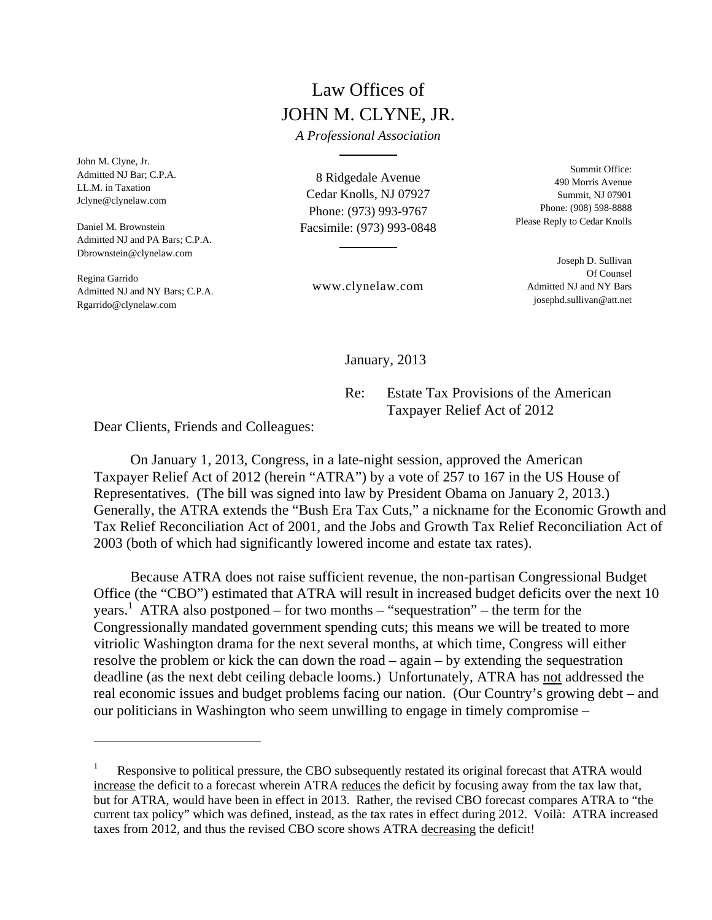## Law Offices of JOHN M. CLYNE, JR.

*A Professional Association* 

John M. Clyne, Jr. Admitted NJ Bar; C.P.A. LL.M. in Taxation Jclyne@clynelaw.com

Daniel M. Brownstein Admitted NJ and PA Bars; C.P.A. Dbrownstein@clynelaw.com

Regina Garrido Admitted NJ and NY Bars; C.P.A. Rgarrido@clynelaw.com

8 Ridgedale Avenue Cedar Knolls, NJ 07927 Phone: (973) 993-9767 Facsimile: (973) 993-0848

Summit Office: 490 Morris Avenue Summit, NJ 07901 Phone: (908) 598-8888 Please Reply to Cedar Knolls

> Joseph D. Sullivan Of Counsel Admitted NJ and NY Bars josephd.sullivan@att.net

www.clynelaw.com

January, 2013

 Re: Estate Tax Provisions of the American Taxpayer Relief Act of 2012

Dear Clients, Friends and Colleagues:

 On January 1, 2013, Congress, in a late-night session, approved the American Taxpayer Relief Act of 2012 (herein "ATRA") by a vote of 257 to 167 in the US House of Representatives. (The bill was signed into law by President Obama on January 2, 2013.) Generally, the ATRA extends the "Bush Era Tax Cuts," a nickname for the Economic Growth and Tax Relief Reconciliation Act of 2001, and the Jobs and Growth Tax Relief Reconciliation Act of 2003 (both of which had significantly lowered income and estate tax rates).

 Because ATRA does not raise sufficient revenue, the non-partisan Congressional Budget Office (the "CBO") estimated that ATRA will result in increased budget deficits over the next 10 years.<sup>1</sup> ATRA also postponed – for two months – "sequestration" – the term for the Congressionally mandated government spending cuts; this means we will be treated to more vitriolic Washington drama for the next several months, at which time, Congress will either resolve the problem or kick the can down the road – again – by extending the sequestration deadline (as the next debt ceiling debacle looms.) Unfortunately, ATRA has not addressed the real economic issues and budget problems facing our nation. (Our Country's growing debt – and our politicians in Washington who seem unwilling to engage in timely compromise –

<sup>1</sup> Responsive to political pressure, the CBO subsequently restated its original forecast that ATRA would increase the deficit to a forecast wherein ATRA reduces the deficit by focusing away from the tax law that, but for ATRA, would have been in effect in 2013. Rather, the revised CBO forecast compares ATRA to "the current tax policy" which was defined, instead, as the tax rates in effect during 2012. Voilà: ATRA increased taxes from 2012, and thus the revised CBO score shows ATRA decreasing the deficit!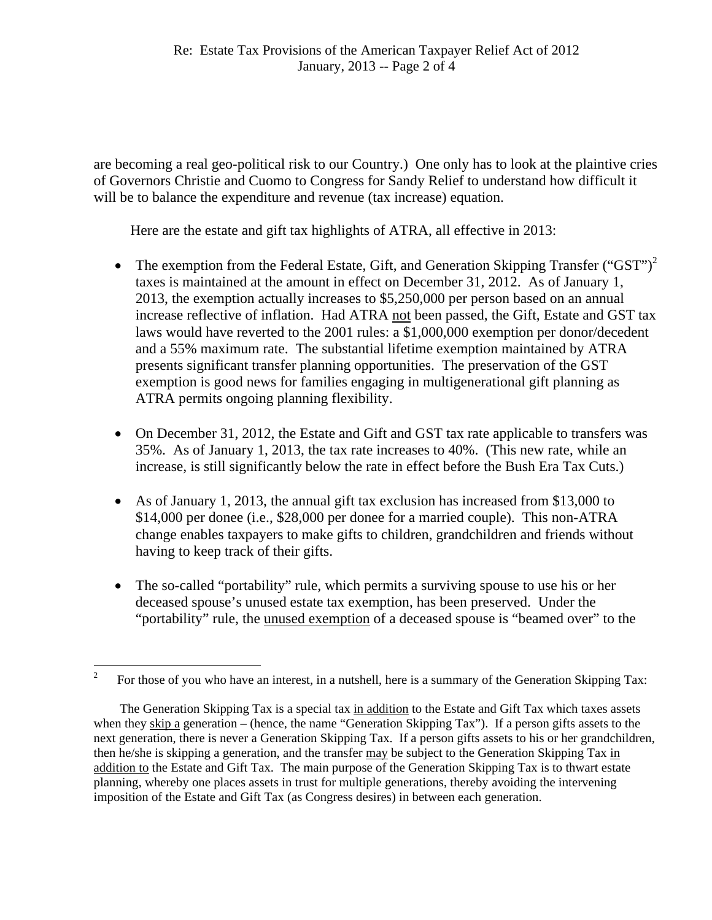are becoming a real geo-political risk to our Country.) One only has to look at the plaintive cries of Governors Christie and Cuomo to Congress for Sandy Relief to understand how difficult it will be to balance the expenditure and revenue (tax increase) equation.

Here are the estate and gift tax highlights of ATRA, all effective in 2013:

- The exemption from the Federal Estate, Gift, and Generation Skipping Transfer ("GST")<sup>2</sup> taxes is maintained at the amount in effect on December 31, 2012. As of January 1, 2013, the exemption actually increases to \$5,250,000 per person based on an annual increase reflective of inflation. Had ATRA not been passed, the Gift, Estate and GST tax laws would have reverted to the 2001 rules: a \$1,000,000 exemption per donor/decedent and a 55% maximum rate. The substantial lifetime exemption maintained by ATRA presents significant transfer planning opportunities. The preservation of the GST exemption is good news for families engaging in multigenerational gift planning as ATRA permits ongoing planning flexibility.
- On December 31, 2012, the Estate and Gift and GST tax rate applicable to transfers was 35%. As of January 1, 2013, the tax rate increases to 40%. (This new rate, while an increase, is still significantly below the rate in effect before the Bush Era Tax Cuts.)
- As of January 1, 2013, the annual gift tax exclusion has increased from \$13,000 to \$14,000 per donee (i.e., \$28,000 per donee for a married couple). This non-ATRA change enables taxpayers to make gifts to children, grandchildren and friends without having to keep track of their gifts.
- The so-called "portability" rule, which permits a surviving spouse to use his or her deceased spouse's unused estate tax exemption, has been preserved. Under the "portability" rule, the unused exemption of a deceased spouse is "beamed over" to the

 2 For those of you who have an interest, in a nutshell, here is a summary of the Generation Skipping Tax:

The Generation Skipping Tax is a special tax in addition to the Estate and Gift Tax which taxes assets when they skip a generation – (hence, the name "Generation Skipping Tax"). If a person gifts assets to the next generation, there is never a Generation Skipping Tax. If a person gifts assets to his or her grandchildren, then he/she is skipping a generation, and the transfer may be subject to the Generation Skipping Tax in addition to the Estate and Gift Tax. The main purpose of the Generation Skipping Tax is to thwart estate planning, whereby one places assets in trust for multiple generations, thereby avoiding the intervening imposition of the Estate and Gift Tax (as Congress desires) in between each generation.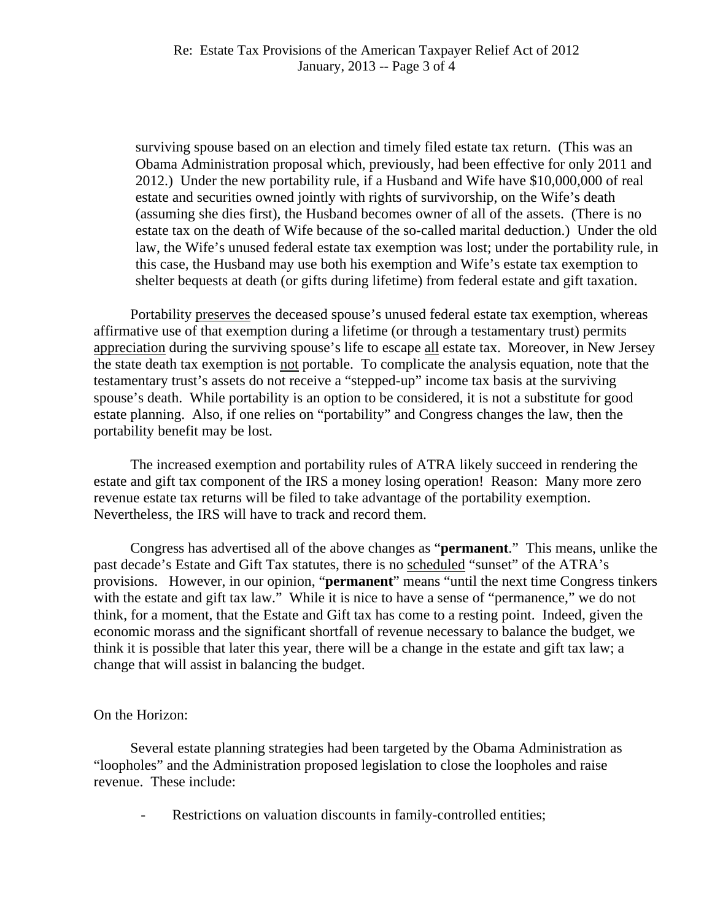surviving spouse based on an election and timely filed estate tax return. (This was an Obama Administration proposal which, previously, had been effective for only 2011 and 2012.) Under the new portability rule, if a Husband and Wife have \$10,000,000 of real estate and securities owned jointly with rights of survivorship, on the Wife's death (assuming she dies first), the Husband becomes owner of all of the assets. (There is no estate tax on the death of Wife because of the so-called marital deduction.) Under the old law, the Wife's unused federal estate tax exemption was lost; under the portability rule, in this case, the Husband may use both his exemption and Wife's estate tax exemption to shelter bequests at death (or gifts during lifetime) from federal estate and gift taxation.

 Portability preserves the deceased spouse's unused federal estate tax exemption, whereas affirmative use of that exemption during a lifetime (or through a testamentary trust) permits appreciation during the surviving spouse's life to escape all estate tax. Moreover, in New Jersey the state death tax exemption is not portable. To complicate the analysis equation, note that the testamentary trust's assets do not receive a "stepped-up" income tax basis at the surviving spouse's death. While portability is an option to be considered, it is not a substitute for good estate planning. Also, if one relies on "portability" and Congress changes the law, then the portability benefit may be lost.

 The increased exemption and portability rules of ATRA likely succeed in rendering the estate and gift tax component of the IRS a money losing operation! Reason: Many more zero revenue estate tax returns will be filed to take advantage of the portability exemption. Nevertheless, the IRS will have to track and record them.

 Congress has advertised all of the above changes as "**permanent**." This means, unlike the past decade's Estate and Gift Tax statutes, there is no scheduled "sunset" of the ATRA's provisions. However, in our opinion, "**permanent**" means "until the next time Congress tinkers with the estate and gift tax law." While it is nice to have a sense of "permanence," we do not think, for a moment, that the Estate and Gift tax has come to a resting point. Indeed, given the economic morass and the significant shortfall of revenue necessary to balance the budget, we think it is possible that later this year, there will be a change in the estate and gift tax law; a change that will assist in balancing the budget.

## On the Horizon:

 Several estate planning strategies had been targeted by the Obama Administration as "loopholes" and the Administration proposed legislation to close the loopholes and raise revenue. These include:

Restrictions on valuation discounts in family-controlled entities;